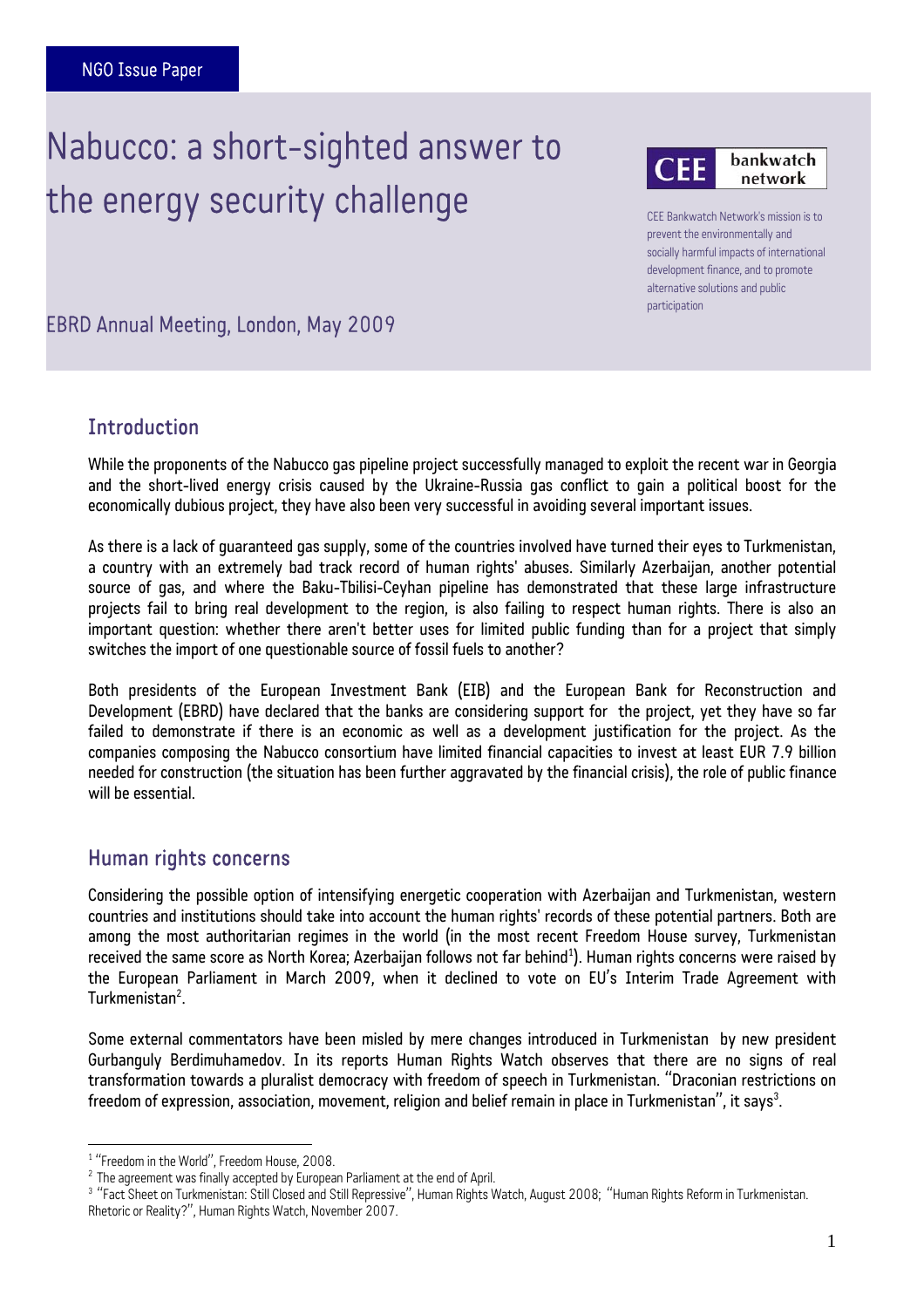# J  $\ddot{\phantom{0}}$ Nabucco: a short-sighted answer to the energy security challenge



CEE Bankwatch Network's mission is to prevent the environmentally and socially harmful impacts of international development finance, and to promote alternative solutions and public participation

EBRD Annual Meeting, London, May 2009

# **Introduction**

Ī

While the proponents of the Nabucco gas pipeline project successfully managed to exploit the recent war in Georgia and the short-lived energy crisis caused by the Ukraine-Russia gas conflict to gain a political boost for the economically dubious project, they have also been very successful in avoiding several important issues.

As there is a lack of guaranteed gas supply, some of the countries involved have turned their eyes to Turkmenistan, a country with an extremely bad track record of human rights' abuses. Similarly Azerbaijan, another potential source of gas, and where the Baku-Tbilisi-Ceyhan pipeline has demonstrated that these large infrastructure projects fail to bring real development to the region, is also failing to respect human rights. There is also an important question: whether there aren't better uses for limited public funding than for a project that simply switches the import of one questionable source of fossil fuels to another?

Both presidents of the European Investment Bank (EIB) and the European Bank for Reconstruction and Development (EBRD) have declared that the banks are considering support for the project, yet they have so far failed to demonstrate if there is an economic as well as a development justification for the project. As the companies composing the Nabucco consortium have limited financial capacities to invest at least EUR 7.9 billion needed for construction (the situation has been further aggravated by the financial crisis), the role of public finance will he essential

#### Human rights concerns

Considering the possible option of intensifying energetic cooperation with Azerbaijan and Turkmenistan, western countries and institutions should take into account the human rights' records of these potential partners. Both are among the most authoritarian regimes in the world (in the most recent Freedom House survey, Turkmenistan received the same score as North Korea; Azerbaijan follows not far behind<sup>1</sup>[\).](#page-0-0) Human rights concerns were raised by the European Parliament in March 2009, when it declined to vote on EU's Interim Trade Agreement with Turkmenistan<sup>2</sup>.

Some external commentators have been misled by mere changes introduced in Turkmenistan by new president Gurbanguly Berdimuhamedov. In its reports Human Rights Watch observes that there are no signs of real transformation towards a pluralist democracy with freedom of speech in Turkmenistan. "Draconian restrictions on freedom of expression, association, movement, religion and belief remain in place in Turkmenistan", it says $^3\!$ .

 $\overline{a}$ 

<span id="page-0-0"></span><sup>&</sup>lt;sup>1</sup> "Freedom in the World", Freedom House, 2008.

<span id="page-0-1"></span>

<span id="page-0-2"></span><sup>&</sup>lt;sup>2</sup> The agreement was finally accepted by European Parliament at the end of April.<br><sup>3</sup> "Fact Sheet on Turkmenistan: Still Closed and Still Repressive", Human Rights Watch, August 2008; "Human Rights Reform in Turkmenistan. Rhetoric or Reality?", Human Rights Watch, November 2007.